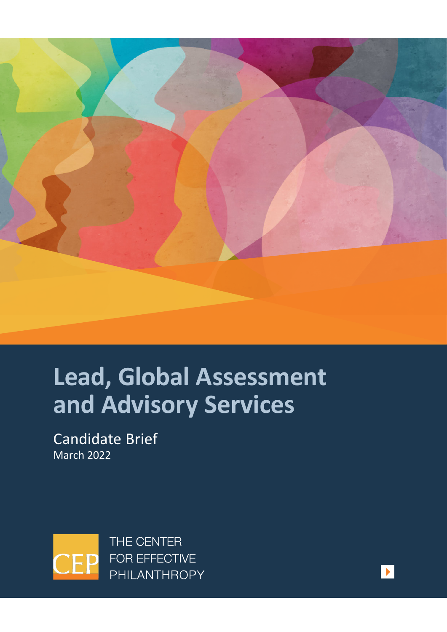

# **Lead, Global Assessment and Advisory Services**

Candidate Brief March 2022



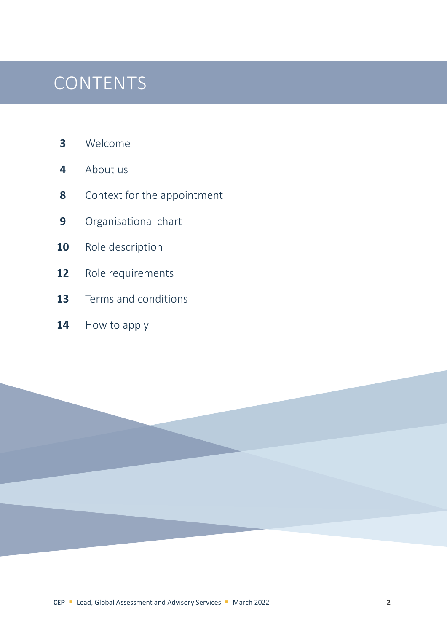### **CONTENTS**

- [Welcome](#page-2-0)
- [About us](#page-3-0)
- [Context for the appointment](#page-7-0)
- Organisational chart
- [Role description](#page-9-0)
- [Role requirements](#page-11-0)
- [Terms and conditions](#page-12-0)
- [How to apply](#page-13-0)

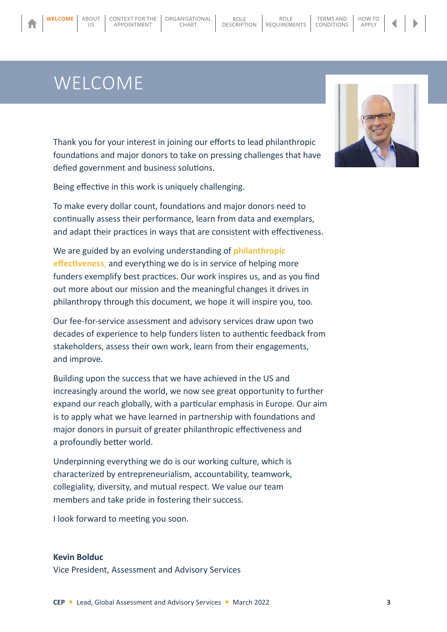### WELCOME

<span id="page-2-0"></span>**WELCOME** [ABOUT](#page-3-0)

 $| \cdot | \cdot \zeta$ 

Thank you for your interest in joining our efforts to lead philanthropic foundations and major donors to take on pressing challenges that have defied government and business solutions.

CHART

[DESCRIPTION](#page-9-0)

ROLE **[REQUIREMENTS](#page-11-0)** 

TERMS AND [CONDITIONS](#page-12-0)

Being effective in this work is uniquely challenging.

**WELCOME** | ABOUT | CONTEXT FOR THE | [ORGANISATIONAL](#page-8-0) | ROLE

APPOINTMENT

To make every dollar count, foundations and major donors need to continually assess their performance, learn from data and exemplars, and adapt their practices in ways that are consistent with effectiveness.

We are guided by an evolving understanding of **[philanthropic](https://cep.org/wp-content/uploads/2021/07/CEP_Definition_of_Philanthropic_Effectiveness_2021.pdf)  [effectiveness](https://cep.org/wp-content/uploads/2021/07/CEP_Definition_of_Philanthropic_Effectiveness_2021.pdf)**, and everything we do is in service of helping more funders exemplify best practices. Our work inspires us, and as you find out more about our mission and the meaningful changes it drives in philanthropy through this document, we hope it will inspire you, too.

Our fee-for-service assessment and advisory services draw upon two decades of experience to help funders listen to authentic feedback from stakeholders, assess their own work, learn from their engagements, and improve.

Building upon the success that we have achieved in the US and increasingly around the world, we now see great opportunity to further expand our reach globally, with a particular emphasis in Europe. Our aim is to apply what we have learned in partnership with foundations and major donors in pursuit of greater philanthropic effectiveness and a profoundly better world.

Underpinning everything we do is our working culture, which is characterized by entrepreneurialism, accountability, teamwork, collegiality, diversity, and mutual respect. We value our team members and take pride in fostering their success.

I look forward to meeting you soon.

#### **Kevin Bolduc**

Vice President, Assessment and Advisory Services



[HOW TO](#page-13-0)  APPLY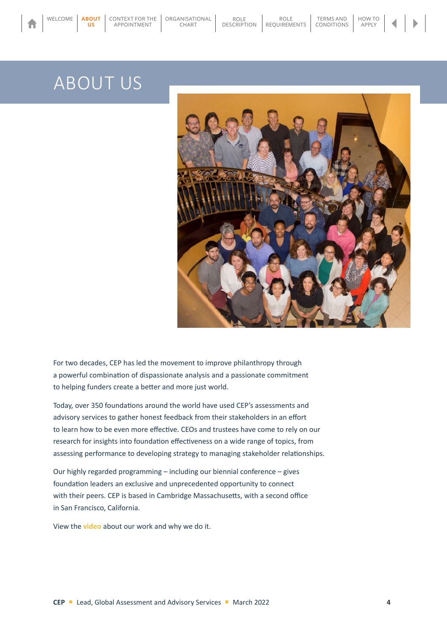US

<span id="page-3-0"></span>[WELCOME](#page-2-0) **ABOUT** CONTEXT FOR THE ORGANISATIONAL ROLE<br> **US** APPOINTMENT CHART DESCRIPT

[CONTEXT FOR THE](#page-7-0)  APPOINTMENT

[ORGANISATIONAL](#page-8-0) CHART



ROLE [REQUIREMENTS](#page-11-0)

TERMS AND [CONDITIONS](#page-12-0) [HOW TO](#page-13-0)  APPLY

**[DESCRIPTION](#page-9-0)** 

For two decades, CEP has led the movement to improve philanthropy through a powerful combination of dispassionate analysis and a passionate commitment to helping funders create a better and more just world.

Today, over 350 foundations around the world have used CEP's assessments and advisory services to gather honest feedback from their stakeholders in an effort to learn how to be even more effective. CEOs and trustees have come to rely on our research for insights into foundation effectiveness on a wide range of topics, from assessing performance to developing strategy to managing stakeholder relationships.

Our highly regarded programming – including our biennial conference – gives foundation leaders an exclusive and unprecedented opportunity to connect with their peers. CEP is based in Cambridge Massachusetts, with a second office in San Francisco, California.

View the **[video](https://cep.org/about/our-impact/)** about our work and why we do it.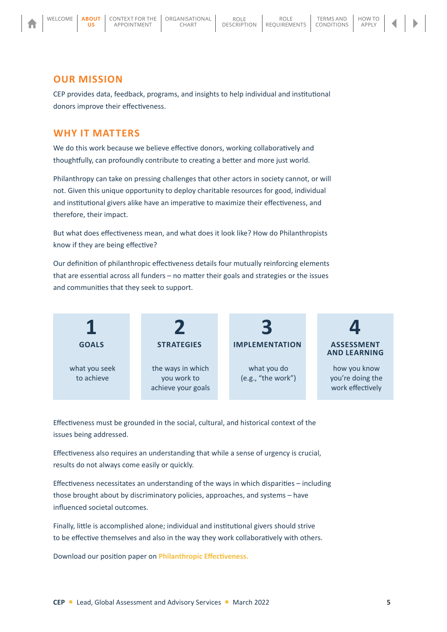

ABOUT **[ABOUTUS](#page-3-0)**US

#### **OUR MISSION**

CEP provides data, feedback, programs, and insights to help individual and institutional donors improve their effectiveness.

#### **WHY IT MATTERS**

We do this work because we believe effective donors, working collaboratively and thoughtfully, can profoundly contribute to creating a better and more just world.

Philanthropy can take on pressing challenges that other actors in society cannot, or will not. Given this unique opportunity to deploy charitable resources for good, individual and institutional givers alike have an imperative to maximize their effectiveness, and therefore, their impact.

But what does effectiveness mean, and what does it look like? How do Philanthropists know if they are being effective?

Our definition of philanthropic effectiveness details four mutually reinforcing elements that are essential across all funders – no matter their goals and strategies or the issues and communities that they seek to support.



Effectiveness must be grounded in the social, cultural, and historical context of the issues being addressed.

Effectiveness also requires an understanding that while a sense of urgency is crucial, results do not always come easily or quickly.

Effectiveness necessitates an understanding of the ways in which disparities – including those brought about by discriminatory policies, approaches, and systems – have influenced societal outcomes.

Finally, little is accomplished alone; individual and institutional givers should strive to be effective themselves and also in the way they work collaboratively with others.

Download our position paper on **[Philanthropic Effectiveness](http://cep.org/wp-content/uploads/2021/07/CEP_Definition_of_Philanthropic_Effectiveness_2021.pdf).**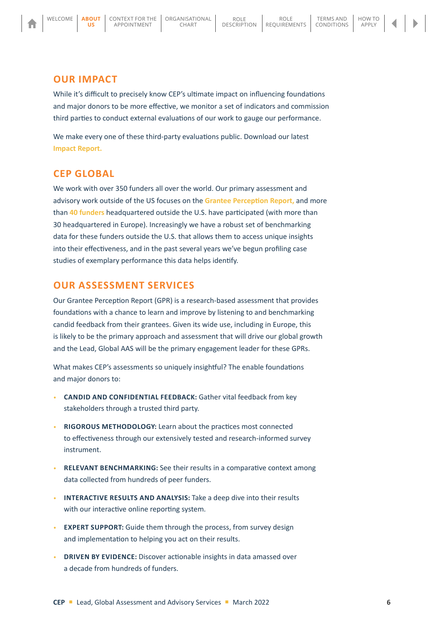#### **OUR IMPACT**

ABOUT **[ABOUTUS](#page-3-0)**US

While it's difficult to precisely know CEP's ultimate impact on influencing foundations and major donors to be more effective, we monitor a set of indicators and commission third parties to conduct external evaluations of our work to gauge our performance.

We make every one of these third-party evaluations public. Download our latest **[Impact Report.](https://cep.org/about/our-impact/)**

### **CEP GLOBAL**

We work with over 350 funders all over the world. Our primary assessment and advisory work outside of the US focuses on the **[Grantee Perception Report](https://cep.org/assessments/grantee-perception-report/),** and more than **[40 funders](https://cep.org/global/)** headquartered outside the U.S. have participated (with more than 30 headquartered in Europe). Increasingly we have a robust set of benchmarking data for these funders outside the U.S. that allows them to access unique insights into their effectiveness, and in the past several years we've begun profiling case studies of exemplary performance this data helps identify.

### **OUR ASSESSMENT SERVICES**

Our Grantee Perception Report (GPR) is a research-based assessment that provides foundations with a chance to learn and improve by listening to and benchmarking candid feedback from their grantees. Given its wide use, including in Europe, this is likely to be the primary approach and assessment that will drive our global growth and the Lead, Global AAS will be the primary engagement leader for these GPRs.

What makes CEP's assessments so uniquely insightful? The enable foundations and major donors to:

- **CANDID AND CONFIDENTIAL FEEDBACK:** Gather vital feedback from key stakeholders through a trusted third party.
- **RIGOROUS METHODOLOGY:** Learn about the practices most connected to effectiveness through our extensively tested and research-informed survey instrument.
- **RELEVANT BENCHMARKING:** See their results in a comparative context among data collected from hundreds of peer funders.
- **INTERACTIVE RESULTS AND ANALYSIS:** Take a deep dive into their results with our interactive online reporting system.
- **EXPERT SUPPORT:** Guide them through the process, from survey design and implementation to helping you act on their results.
- **DRIVEN BY EVIDENCE:** Discover actionable insights in data amassed over a decade from hundreds of funders.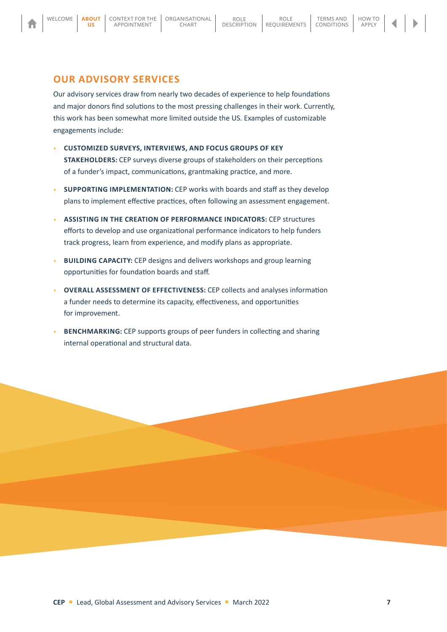US

### **OUR ADVISORY SERVICES**

Our advisory services draw from nearly two decades of experience to help foundations and major donors find solutions to the most pressing challenges in their work. Currently, this work has been somewhat more limited outside the US. Examples of customizable engagements include:

- **CUSTOMIZED SURVEYS, INTERVIEWS, AND FOCUS GROUPS OF KEY STAKEHOLDERS:** CEP surveys diverse groups of stakeholders on their perceptions of a funder's impact, communications, grantmaking practice, and more.
- **SUPPORTING IMPLEMENTATION:** CEP works with boards and staff as they develop plans to implement effective practices, often following an assessment engagement.
- **ASSISTING IN THE CREATION OF PERFORMANCE INDICATORS:** CEP structures efforts to develop and use organizational performance indicators to help funders track progress, learn from experience, and modify plans as appropriate.
- **BUILDING CAPACITY:** CEP designs and delivers workshops and group learning opportunities for foundation boards and staff.
- **OVERALL ASSESSMENT OF EFFECTIVENESS:** CEP collects and analyses information a funder needs to determine its capacity, effectiveness, and opportunities for improvement.
- **BENCHMARKING:** CEP supports groups of peer funders in collecting and sharing internal operational and structural data.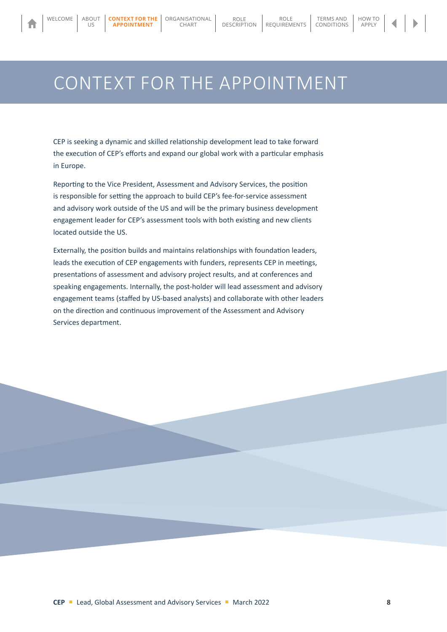<span id="page-7-0"></span>WELCOME | [ABOUT](#page-3-0)

 $U\subseteq$ 

APPOINTMENT **APPOINTMENT**

### CONTEXT FOR THE APPOINTMENT

CEP is seeking a dynamic and skilled relationship development lead to take forward the execution of CEP's efforts and expand our global work with a particular emphasis in Europe.

Reporting to the Vice President, Assessment and Advisory Services, the position is responsible for setting the approach to build CEP's fee-for-service assessment and advisory work outside of the US and will be the primary business development engagement leader for CEP's assessment tools with both existing and new clients located outside the US.

Externally, the position builds and maintains relationships with foundation leaders, leads the execution of CEP engagements with funders, represents CEP in meetings, presentations of assessment and advisory project results, and at conferences and speaking engagements. Internally, the post-holder will lead assessment and advisory engagement teams (staffed by US-based analysts) and collaborate with other leaders on the direction and continuous improvement of the Assessment and Advisory Services department.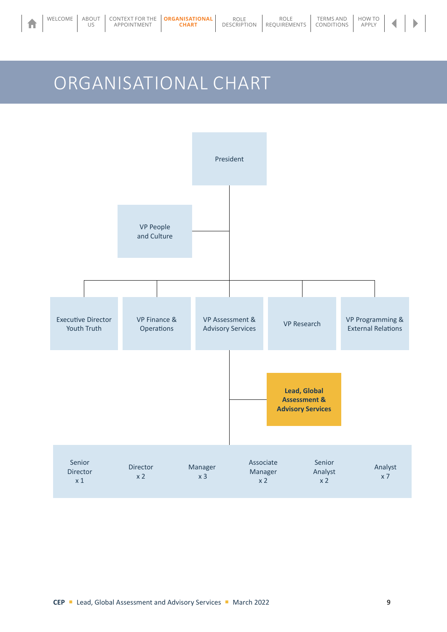## <span id="page-8-0"></span>ORGANISATIONAL CHART



 $\blacktriangleleft$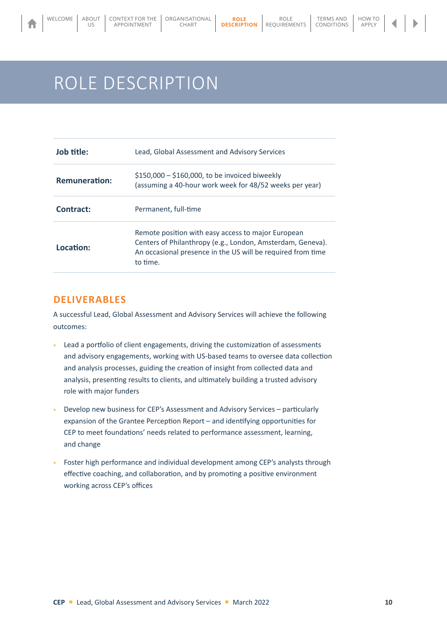# <span id="page-9-0"></span>ROLE DESCRIPTION

| Job title:           | Lead, Global Assessment and Advisory Services                                                                                                                                               |
|----------------------|---------------------------------------------------------------------------------------------------------------------------------------------------------------------------------------------|
| <b>Remuneration:</b> | $$150,000 - $160,000$ , to be invoiced biweekly<br>(assuming a 40-hour work week for 48/52 weeks per year)                                                                                  |
| Contract:            | Permanent, full-time                                                                                                                                                                        |
| Location:            | Remote position with easy access to major European<br>Centers of Philanthropy (e.g., London, Amsterdam, Geneva).<br>An occasional presence in the US will be required from time<br>to time. |

#### **DELIVERABLES**

A successful Lead, Global Assessment and Advisory Services will achieve the following outcomes:

- Lead a portfolio of client engagements, driving the customization of assessments and advisory engagements, working with US-based teams to oversee data collection and analysis processes, guiding the creation of insight from collected data and analysis, presenting results to clients, and ultimately building a trusted advisory role with major funders
- Develop new business for CEP's Assessment and Advisory Services particularly expansion of the Grantee Perception Report – and identifying opportunities for CEP to meet foundations' needs related to performance assessment, learning, and change
- Foster high performance and individual development among CEP's analysts through effective coaching, and collaboration, and by promoting a positive environment working across CEP's offices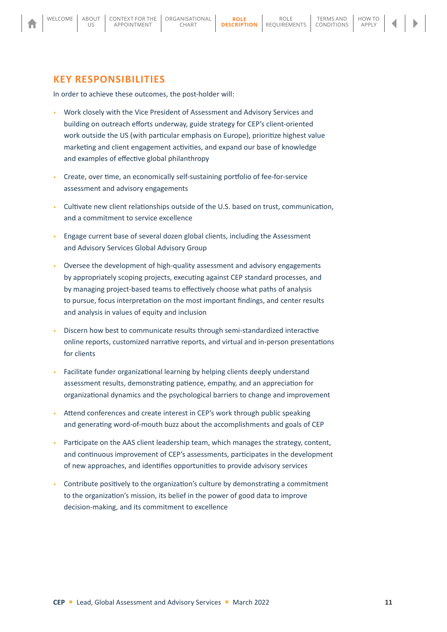#### **KEY RESPONSIBILITIES**

[ABOUT](#page-3-0)  $| | \zeta$ 

In order to achieve these outcomes, the post-holder will:

[CONTEXT FOR THE](#page-7-0)  APPOINTMENT

- Work closely with the Vice President of Assessment and Advisory Services and building on outreach efforts underway, guide strategy for CEP's client-oriented work outside the US (with particular emphasis on Europe), prioritize highest value marketing and client engagement activities, and expand our base of knowledge and examples of effective global philanthropy
- Create, over time, an economically self-sustaining portfolio of fee-for-service assessment and advisory engagements
- Cultivate new client relationships outside of the U.S. based on trust, communication, and a commitment to service excellence
- Engage current base of several dozen global clients, including the Assessment and Advisory Services Global Advisory Group
- Oversee the development of high-quality assessment and advisory engagements by appropriately scoping projects, executing against CEP standard processes, and by managing project-based teams to effectively choose what paths of analysis to pursue, focus interpretation on the most important findings, and center results and analysis in values of equity and inclusion
- Discern how best to communicate results through semi-standardized interactive online reports, customized narrative reports, and virtual and in-person presentations for clients
- Facilitate funder organizational learning by helping clients deeply understand assessment results, demonstrating patience, empathy, and an appreciation for organizational dynamics and the psychological barriers to change and improvement
- Attend conferences and create interest in CEP's work through public speaking and generating word-of-mouth buzz about the accomplishments and goals of CEP
- Participate on the AAS client leadership team, which manages the strategy, content, and continuous improvement of CEP's assessments, participates in the development of new approaches, and identifies opportunities to provide advisory services
- Contribute positively to the organization's culture by demonstrating a commitment to the organization's mission, its belief in the power of good data to improve decision-making, and its commitment to excellence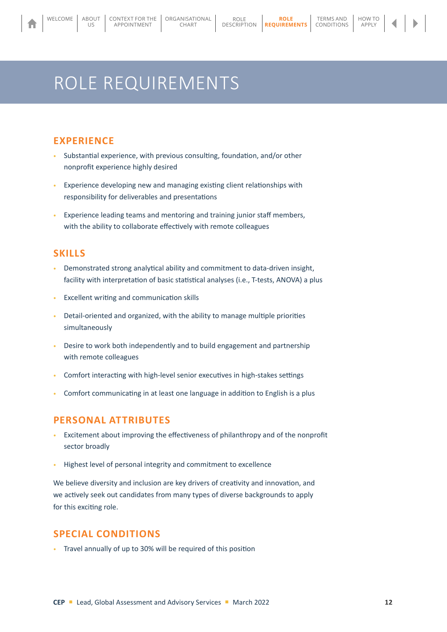[ORGANISATIONAL](#page-8-0) CHART

#### [HOW TO](#page-13-0)  APPLY

# ROLE REQUIREMENTS

APPOINTMENT

#### **EXPERIENCE**

<span id="page-11-0"></span>[ABOUT](#page-3-0)  $U\subseteq$ 

- Substantial experience, with previous consulting, foundation, and/or other nonprofit experience highly desired
- Experience developing new and managing existing client relationships with responsibility for deliverables and presentations
- Experience leading teams and mentoring and training junior staff members, with the ability to collaborate effectively with remote colleagues

### **SKILLS**

- Demonstrated strong analytical ability and commitment to data-driven insight, facility with interpretation of basic statistical analyses (i.e., T-tests, ANOVA) a plus
- Excellent writing and communication skills
- Detail-oriented and organized, with the ability to manage multiple priorities simultaneously
- Desire to work both independently and to build engagement and partnership with remote colleagues
- Comfort interacting with high-level senior executives in high-stakes settings
- Comfort communicating in at least one language in addition to English is a plus

#### **PERSONAL ATTRIBUTES**

- Excitement about improving the effectiveness of philanthropy and of the nonprofit sector broadly
- Highest level of personal integrity and commitment to excellence

We believe diversity and inclusion are key drivers of creativity and innovation, and we actively seek out candidates from many types of diverse backgrounds to apply for this exciting role.

#### **SPECIAL CONDITIONS**

• Travel annually of up to 30% will be required of this position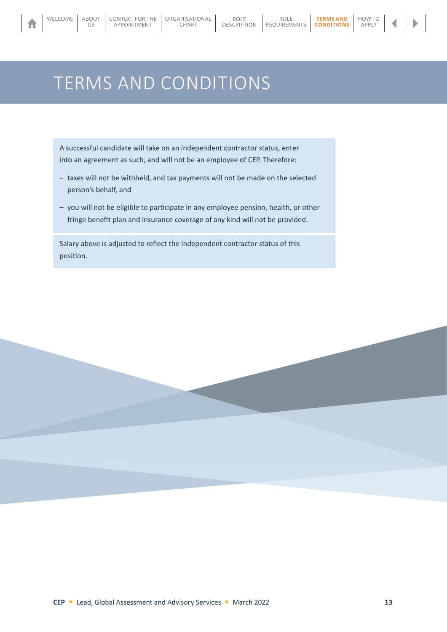<span id="page-12-0"></span>WELCOME [ABOUT](#page-3-0)

 $U\subseteq$ 

#### [HOW TO](#page-13-0)  APPLY

# TERMS AND CONDITIONS

A successful candidate will take on an independent contractor status, enter into an agreement as such, and will not be an employee of CEP. Therefore:

- taxes will not be withheld, and tax payments will not be made on the selected person's behalf, and
- you will not be eligible to participate in any employee pension, health, or other fringe benefit plan and insurance coverage of any kind will not be provided.

Salary above is adjusted to reflect the independent contractor status of this position.